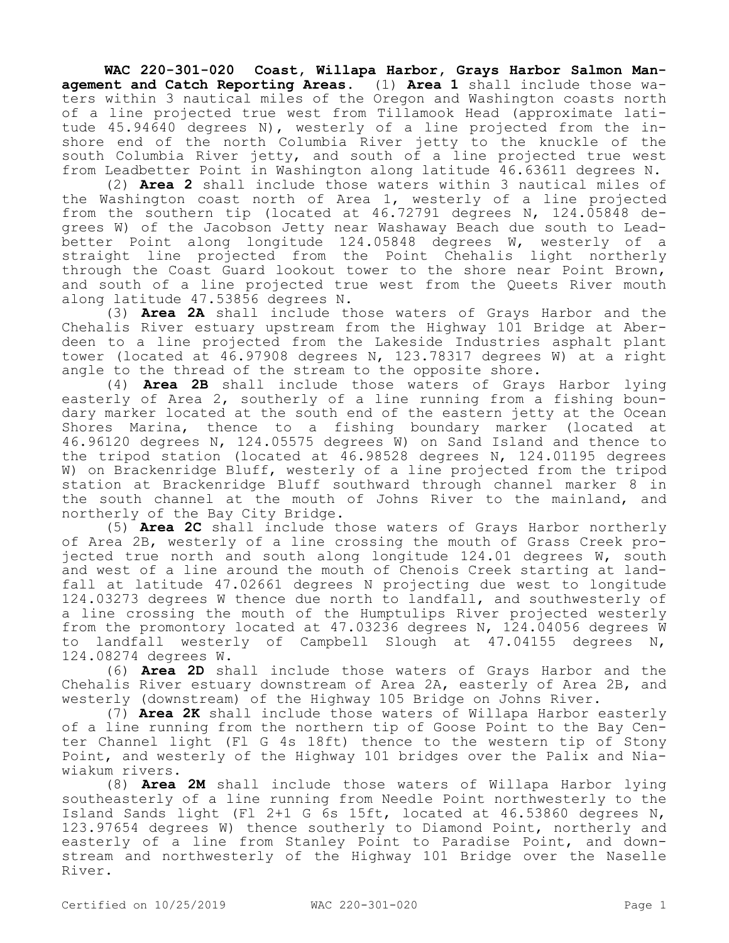**WAC 220-301-020 Coast, Willapa Harbor, Grays Harbor Salmon Management and Catch Reporting Areas.** (1) **Area 1** shall include those waters within 3 nautical miles of the Oregon and Washington coasts north of a line projected true west from Tillamook Head (approximate latitude 45.94640 degrees N), westerly of a line projected from the inshore end of the north Columbia River jetty to the knuckle of the south Columbia River jetty, and south of a line projected true west from Leadbetter Point in Washington along latitude 46.63611 degrees N.

(2) **Area 2** shall include those waters within 3 nautical miles of the Washington coast north of Area 1, westerly of a line projected from the southern tip (located at 46.72791 degrees N, 124.05848 degrees W) of the Jacobson Jetty near Washaway Beach due south to Leadbetter Point along longitude 124.05848 degrees W, westerly of a straight line projected from the Point Chehalis light northerly through the Coast Guard lookout tower to the shore near Point Brown, and south of a line projected true west from the Queets River mouth along latitude 47.53856 degrees N.

(3) **Area 2A** shall include those waters of Grays Harbor and the Chehalis River estuary upstream from the Highway 101 Bridge at Aberdeen to a line projected from the Lakeside Industries asphalt plant tower (located at 46.97908 degrees N, 123.78317 degrees W) at a right angle to the thread of the stream to the opposite shore.

(4) **Area 2B** shall include those waters of Grays Harbor lying easterly of Area 2, southerly of a line running from a fishing boundary marker located at the south end of the eastern jetty at the Ocean Shores Marina, thence to a fishing boundary marker (located at 46.96120 degrees N, 124.05575 degrees W) on Sand Island and thence to the tripod station (located at 46.98528 degrees N, 124.01195 degrees W) on Brackenridge Bluff, westerly of a line projected from the tripod station at Brackenridge Bluff southward through channel marker 8 in the south channel at the mouth of Johns River to the mainland, and northerly of the Bay City Bridge.

(5) **Area 2C** shall include those waters of Grays Harbor northerly of Area 2B, westerly of a line crossing the mouth of Grass Creek projected true north and south along longitude 124.01 degrees W, south and west of a line around the mouth of Chenois Creek starting at landfall at latitude 47.02661 degrees N projecting due west to longitude 124.03273 degrees W thence due north to landfall, and southwesterly of a line crossing the mouth of the Humptulips River projected westerly from the promontory located at 47.03236 degrees N, 124.04056 degrees W to landfall westerly of Campbell Slough at 47.04155 degrees N, 124.08274 degrees W.

(6) **Area 2D** shall include those waters of Grays Harbor and the Chehalis River estuary downstream of Area 2A, easterly of Area 2B, and westerly (downstream) of the Highway 105 Bridge on Johns River.

(7) **Area 2K** shall include those waters of Willapa Harbor easterly of a line running from the northern tip of Goose Point to the Bay Center Channel light (Fl G 4s 18ft) thence to the western tip of Stony Point, and westerly of the Highway 101 bridges over the Palix and Niawiakum rivers.

(8) **Area 2M** shall include those waters of Willapa Harbor lying southeasterly of a line running from Needle Point northwesterly to the Island Sands light (Fl 2+1 G 6s 15ft, located at 46.53860 degrees N, 123.97654 degrees W) thence southerly to Diamond Point, northerly and easterly of a line from Stanley Point to Paradise Point, and downstream and northwesterly of the Highway 101 Bridge over the Naselle River.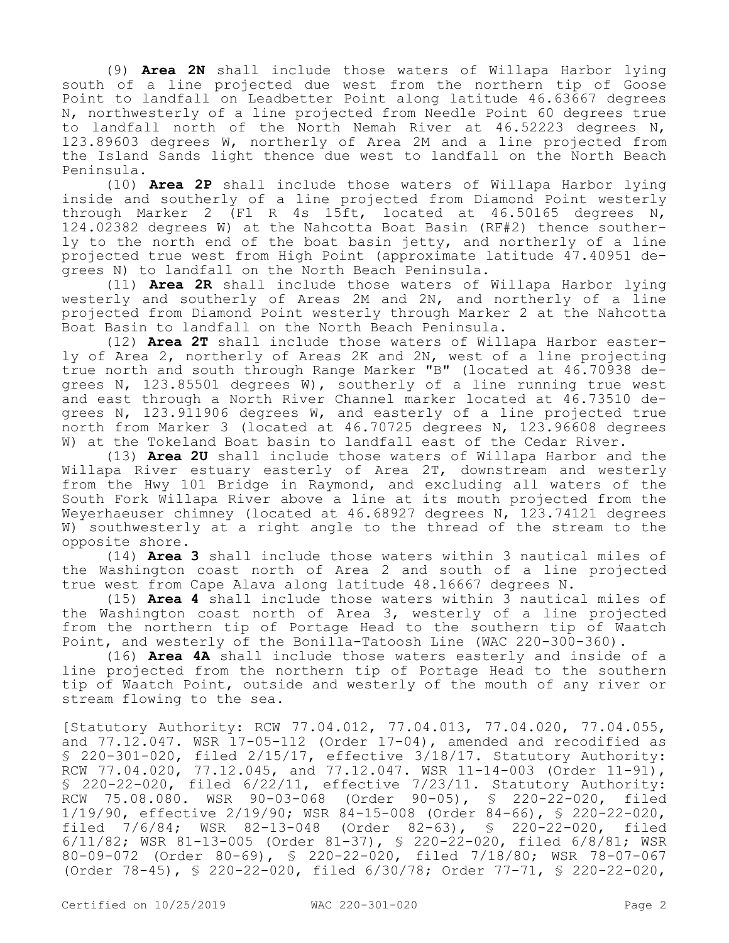(9) **Area 2N** shall include those waters of Willapa Harbor lying south of a line projected due west from the northern tip of Goose Point to landfall on Leadbetter Point along latitude 46.63667 degrees N, northwesterly of a line projected from Needle Point 60 degrees true to landfall north of the North Nemah River at 46.52223 degrees N, 123.89603 degrees W, northerly of Area 2M and a line projected from the Island Sands light thence due west to landfall on the North Beach Peninsula.

(10) **Area 2P** shall include those waters of Willapa Harbor lying inside and southerly of a line projected from Diamond Point westerly through Marker 2 (Fl R 4s 15ft, located at 46.50165 degrees N, 124.02382 degrees W) at the Nahcotta Boat Basin (RF#2) thence southerly to the north end of the boat basin jetty, and northerly of a line projected true west from High Point (approximate latitude 47.40951 degrees N) to landfall on the North Beach Peninsula.

(11) **Area 2R** shall include those waters of Willapa Harbor lying westerly and southerly of Areas 2M and 2N, and northerly of a line projected from Diamond Point westerly through Marker 2 at the Nahcotta Boat Basin to landfall on the North Beach Peninsula.

(12) **Area 2T** shall include those waters of Willapa Harbor easterly of Area 2, northerly of Areas 2K and 2N, west of a line projecting true north and south through Range Marker "B" (located at 46.70938 degrees N, 123.85501 degrees W), southerly of a line running true west and east through a North River Channel marker located at 46.73510 degrees N, 123.911906 degrees W, and easterly of a line projected true north from Marker 3 (located at 46.70725 degrees N, 123.96608 degrees W) at the Tokeland Boat basin to landfall east of the Cedar River.

(13) **Area 2U** shall include those waters of Willapa Harbor and the Willapa River estuary easterly of Area 2T, downstream and westerly from the Hwy 101 Bridge in Raymond, and excluding all waters of the South Fork Willapa River above a line at its mouth projected from the Weyerhaeuser chimney (located at 46.68927 degrees N, 123.74121 degrees W) southwesterly at a right angle to the thread of the stream to the opposite shore.

(14) **Area 3** shall include those waters within 3 nautical miles of the Washington coast north of Area 2 and south of a line projected true west from Cape Alava along latitude 48.16667 degrees N.

(15) **Area 4** shall include those waters within 3 nautical miles of the Washington coast north of Area 3, westerly of a line projected from the northern tip of Portage Head to the southern tip of Waatch Point, and westerly of the Bonilla-Tatoosh Line (WAC 220-300-360).

(16) **Area 4A** shall include those waters easterly and inside of a line projected from the northern tip of Portage Head to the southern tip of Waatch Point, outside and westerly of the mouth of any river or stream flowing to the sea.

[Statutory Authority: RCW 77.04.012, 77.04.013, 77.04.020, 77.04.055, and  $77.12.047$ . WSR  $17-05-112$  (Order  $17-04$ ), amended and recodified as § 220-301-020, filed 2/15/17, effective 3/18/17. Statutory Authority: RCW 77.04.020, 77.12.045, and 77.12.047. WSR 11-14-003 (Order 11-91), § 220-22-020, filed 6/22/11, effective 7/23/11. Statutory Authority: RCW 75.08.080. WSR 90-03-068 (Order 90-05), § 220-22-020, filed 1/19/90, effective 2/19/90; WSR 84-15-008 (Order 84-66), § 220-22-020, filed 7/6/84; WSR 82-13-048 (Order 82-63), § 220-22-020, filed 6/11/82; WSR 81-13-005 (Order 81-37), § 220-22-020, filed 6/8/81; WSR 80-09-072 (Order 80-69), § 220-22-020, filed 7/18/80; WSR 78-07-067 (Order 78-45), § 220-22-020, filed 6/30/78; Order 77-71, § 220-22-020,